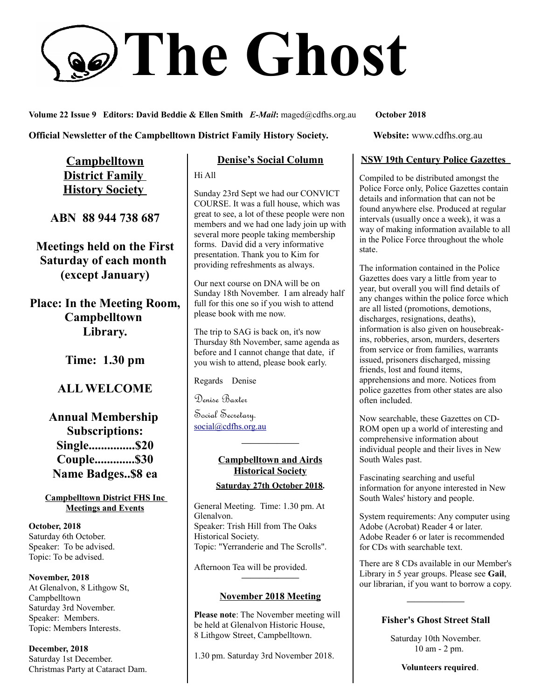# **The Ghost**

**Volume 22 Issue 9 Editors: David Beddie & Ellen Smith** *E-Mail***:** maged@cdfhs.org.au **October 2018**

**Campbelltown District Family History Society** 

**ABN 88 944 738 687**

**Meetings held on the First Saturday of each month (except January)**

**Place: In the Meeting Room, Campbelltown Library.**

**Time: 1.30 pm**

## **ALL WELCOME**

**Annual Membership Subscriptions: Single...............\$20 Couple.............\$30 Name Badges..\$8 ea**

**Campbelltown District FHS Inc Meetings and Events**

**October, 2018** Saturday 6th October. Speaker: To be advised. Topic: To be advised.

**November, 2018** At Glenalvon, 8 Lithgow St, Campbelltown Saturday 3rd November. Speaker: Members. Topic: Members Interests.

**December, 2018** Saturday 1st December. Christmas Party at Cataract Dam.

#### **Denise's Social Column**

Hi All

Sunday 23rd Sept we had our CONVICT COURSE. It was a full house, which was great to see, a lot of these people were non members and we had one lady join up with several more people taking membership forms. David did a very informative presentation. Thank you to Kim for providing refreshments as always.

Our next course on DNA will be on Sunday 18th November. I am already half full for this one so if you wish to attend please book with me now.

The trip to SAG is back on, it's now Thursday 8th November, same agenda as before and I cannot change that date, if you wish to attend, please book early.

Regards Denise

Denise Baxter

Social Secretary. [social@cdfhs.org.au](mailto:social@cdfhs.org.au)

# **Campbelltown and Airds Historical Society**

**——————–**

**Saturday 27th October 2018.**

General Meeting. Time: 1.30 pm. At Glenalvon. Speaker: Trish Hill from The Oaks Historical Society. Topic: "Yerranderie and The Scrolls".

Afternoon Tea will be provided.

#### **November 2018 Meeting**

**——————–**

**Please note**: The November meeting will be held at Glenalvon Historic House, 8 Lithgow Street, Campbelltown.

1.30 pm. Saturday 3rd November 2018.

**Official Newsletter of the Campbelltown District Family History Society. Website: www.cdfhs.org.au** 

#### **NSW 19th Century Police Gazettes**

Compiled to be distributed amongst the Police Force only, Police Gazettes contain details and information that can not be found anywhere else. Produced at regular intervals (usually once a week), it was a way of making information available to all in the Police Force throughout the whole state.

The information contained in the Police Gazettes does vary a little from year to year, but overall you will find details of any changes within the police force which are all listed (promotions, demotions, discharges, resignations, deaths), information is also given on housebreakins, robberies, arson, murders, deserters from service or from families, warrants issued, prisoners discharged, missing friends, lost and found items, apprehensions and more. Notices from police gazettes from other states are also often included.

Now searchable, these Gazettes on CD-ROM open up a world of interesting and comprehensive information about individual people and their lives in New South Wales past.

Fascinating searching and useful information for anyone interested in New South Wales' history and people.

System requirements: Any computer using Adobe (Acrobat) Reader 4 or later. Adobe Reader 6 or later is recommended for CDs with searchable text.

There are 8 CDs available in our Member's Library in 5 year groups. Please see **Gail**, our librarian, if you want to borrow a copy.

#### **Fisher's Ghost Street Stall**

**——————–**

Saturday 10th November. 10 am - 2 pm.

**Volunteers required**.